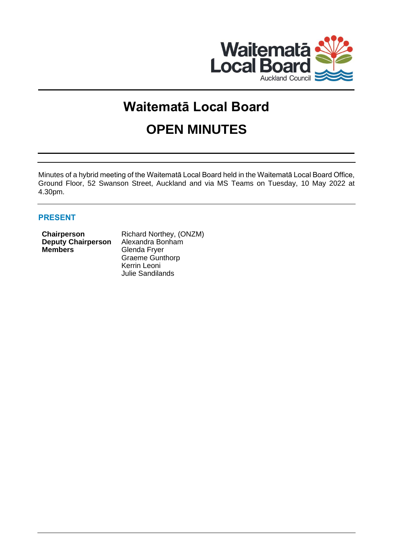

# **Waitematā Local Board OPEN MINUTES**

Minutes of a hybrid meeting of the Waitematā Local Board held in the Waitematā Local Board Office, Ground Floor, 52 Swanson Street, Auckland and via MS Teams on Tuesday, 10 May 2022 at 4.30pm.

# **PRESENT**

| Chairperson               | Richard Northey, (ONZM) |
|---------------------------|-------------------------|
| <b>Deputy Chairperson</b> | Alexandra Bonham        |
| <b>Members</b>            | Glenda Fryer            |
|                           | <b>Graeme Gunthorp</b>  |
|                           | Kerrin Leoni            |
|                           | <b>Julie Sandilands</b> |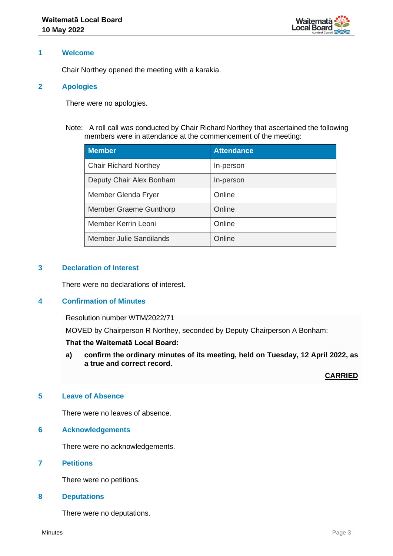

#### **1 Welcome**

Chair Northey opened the meeting with a karakia.

#### **2 Apologies**

There were no apologies.

Note: A roll call was conducted by Chair Richard Northey that ascertained the following members were in attendance at the commencement of the meeting:

| <b>Member</b>                | <b>Attendance</b> |
|------------------------------|-------------------|
| <b>Chair Richard Northey</b> | In-person         |
| Deputy Chair Alex Bonham     | In-person         |
| Member Glenda Fryer          | Online            |
| Member Graeme Gunthorp       | Online            |
| Member Kerrin Leoni          | Online            |
| Member Julie Sandilands      | Online            |

#### **3 Declaration of Interest**

There were no declarations of interest.

#### **4 Confirmation of Minutes**

Resolution number WTM/2022/71

MOVED by Chairperson R Northey, seconded by Deputy Chairperson A Bonham:

#### **That the Waitematā Local Board:**

**a) confirm the ordinary minutes of its meeting, held on Tuesday, 12 April 2022, as a true and correct record.**

**CARRIED**

## **5 Leave of Absence**

There were no leaves of absence.

# **6 Acknowledgements**

There were no acknowledgements.

#### **7 Petitions**

There were no petitions.

#### **8 Deputations**

There were no deputations.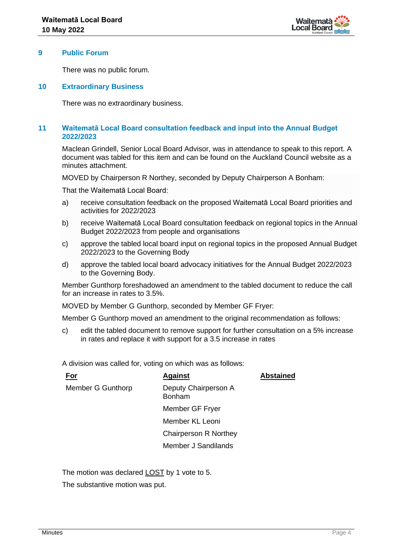

#### **9 Public Forum**

There was no public forum.

#### **10 Extraordinary Business**

There was no extraordinary business.

#### **11 Waitematā Local Board consultation feedback and input into the Annual Budget 2022/2023**

Maclean Grindell, Senior Local Board Advisor, was in attendance to speak to this report. A document was tabled for this item and can be found on the Auckland Council website as a minutes attachment.

MOVED by Chairperson R Northey, seconded by Deputy Chairperson A Bonham:

That the Waitematā Local Board:

- a) receive consultation feedback on the proposed Waitematā Local Board priorities and activities for 2022/2023
- b) receive Waitematā Local Board consultation feedback on regional topics in the Annual Budget 2022/2023 from people and organisations
- c) approve the tabled local board input on regional topics in the proposed Annual Budget 2022/2023 to the Governing Body
- d) approve the tabled local board advocacy initiatives for the Annual Budget 2022/2023 to the Governing Body.

Member Gunthorp foreshadowed an amendment to the tabled document to reduce the call for an increase in rates to 3.5%.

MOVED by Member G Gunthorp, seconded by Member GF Fryer:

Member G Gunthorp moved an amendment to the original recommendation as follows:

c) edit the tabled document to remove support for further consultation on a 5% increase in rates and replace it with support for a 3.5 increase in rates

A division was called for, voting on which was as follows:

| For               | <b>Against</b>                        | <b>Abstained</b> |
|-------------------|---------------------------------------|------------------|
| Member G Gunthorp | Deputy Chairperson A<br><b>Bonham</b> |                  |
|                   | Member GF Fryer                       |                  |
|                   | Member KL Leoni                       |                  |
|                   | <b>Chairperson R Northey</b>          |                  |
|                   | Member J Sandilands                   |                  |
|                   |                                       |                  |

The motion was declared LOST by 1 vote to 5.

The substantive motion was put.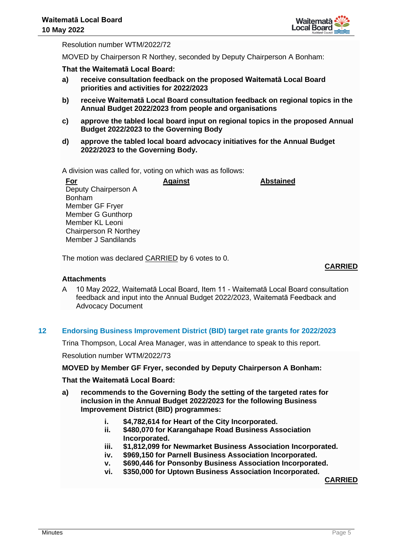

Resolution number WTM/2022/72

MOVED by Chairperson R Northey, seconded by Deputy Chairperson A Bonham:

**That the Waitematā Local Board:**

- **a) receive consultation feedback on the proposed Waitematā Local Board priorities and activities for 2022/2023**
- **b) receive Waitematā Local Board consultation feedback on regional topics in the Annual Budget 2022/2023 from people and organisations**
- **c) approve the tabled local board input on regional topics in the proposed Annual Budget 2022/2023 to the Governing Body**
- **d) approve the tabled local board advocacy initiatives for the Annual Budget 2022/2023 to the Governing Body.**

A division was called for, voting on which was as follows:

**For** Deputy Chairperson A Bonham Member GF Fryer Member G Gunthorp Member KL Leoni Chairperson R Northey Member J Sandilands **Against Abstained**

The motion was declared CARRIED by 6 votes to 0.

# **CARRIED**

## **Attachments**

A 10 May 2022, Waitematā Local Board, Item 11 - Waitematā Local Board consultation feedback and input into the Annual Budget 2022/2023, Waitematā Feedback and Advocacy Document

# **12 Endorsing Business Improvement District (BID) target rate grants for 2022/2023**

Trina Thompson, Local Area Manager, was in attendance to speak to this report.

Resolution number WTM/2022/73

#### **MOVED by Member GF Fryer, seconded by Deputy Chairperson A Bonham:**

# **That the Waitematā Local Board:**

- **a) recommends to the Governing Body the setting of the targeted rates for inclusion in the Annual Budget 2022/2023 for the following Business Improvement District (BID) programmes:**
	- **i. \$4,782,614 for Heart of the City Incorporated.**
	- **ii. \$480,070 for Karangahape Road Business Association Incorporated.**
	- **iii. \$1,812,099 for Newmarket Business Association Incorporated.**
	- **iv. \$969,150 for Parnell Business Association Incorporated.**
	- **v. \$690,446 for Ponsonby Business Association Incorporated.**
	- **vi. \$350,000 for Uptown Business Association Incorporated.**

**CARRIED**